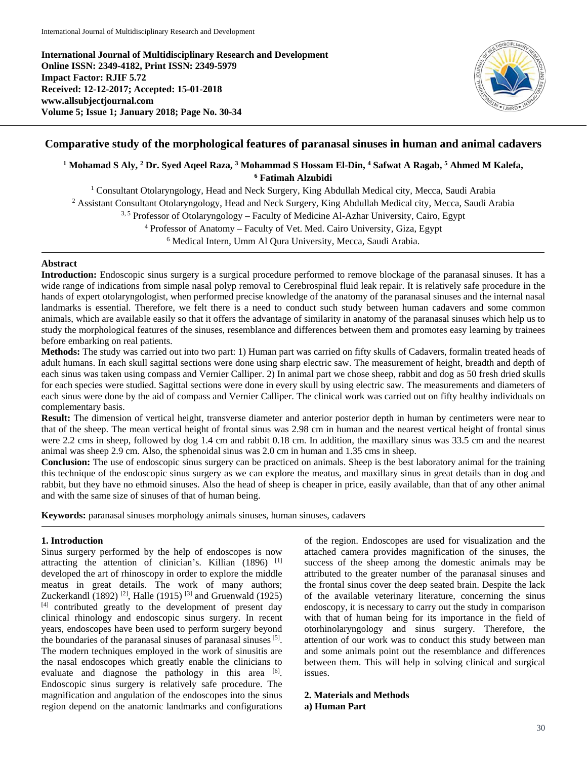**International Journal of Multidisciplinary Research and Development Online ISSN: 2349-4182, Print ISSN: 2349-5979 Impact Factor: RJIF 5.72 Received: 12-12-2017; Accepted: 15-01-2018 www.allsubjectjournal.com Volume 5; Issue 1; January 2018; Page No. 30-34**



## **Comparative study of the morphological features of paranasal sinuses in human and animal cadavers**

# **<sup>1</sup> Mohamad S Aly, 2 Dr. Syed Aqeel Raza, 3 Mohammad S Hossam El-Din, 4 Safwat A Ragab, <sup>5</sup> Ahmed M Kalefa, <sup>6</sup> Fatimah Alzubidi**

<sup>1</sup> Consultant Otolaryngology, Head and Neck Surgery, King Abdullah Medical city, Mecca, Saudi Arabia <sup>2</sup> Assistant Consultant Otolaryngology, Head and Neck Surgery, King Abdullah Medical city, Mecca, Saudi Arabia 3, 5 Professor of Otolaryngology – Faculty of Medicine Al-Azhar University, Cairo, Egypt <sup>4</sup> Professor of Anatomy – Faculty of Vet. Med. Cairo University, Giza, Egypt <sup>6</sup> Medical Intern, Umm Al Qura University, Mecca, Saudi Arabia.

## **Abstract**

**Introduction:** Endoscopic sinus surgery is a surgical procedure performed to remove blockage of the paranasal sinuses. It has a wide range of indications from simple nasal polyp removal to Cerebrospinal fluid leak repair. It is relatively safe procedure in the hands of expert otolaryngologist, when performed precise knowledge of the anatomy of the paranasal sinuses and the internal nasal landmarks is essential. Therefore, we felt there is a need to conduct such study between human cadavers and some common animals, which are available easily so that it offers the advantage of similarity in anatomy of the paranasal sinuses which help us to study the morphological features of the sinuses, resemblance and differences between them and promotes easy learning by trainees before embarking on real patients.

**Methods:** The study was carried out into two part: 1) Human part was carried on fifty skulls of Cadavers, formalin treated heads of adult humans. In each skull sagittal sections were done using sharp electric saw. The measurement of height, breadth and depth of each sinus was taken using compass and Vernier Calliper. 2) In animal part we chose sheep, rabbit and dog as 50 fresh dried skulls for each species were studied. Sagittal sections were done in every skull by using electric saw. The measurements and diameters of each sinus were done by the aid of compass and Vernier Calliper. The clinical work was carried out on fifty healthy individuals on complementary basis.

**Result:** The dimension of vertical height, transverse diameter and anterior posterior depth in human by centimeters were near to that of the sheep. The mean vertical height of frontal sinus was 2.98 cm in human and the nearest vertical height of frontal sinus were 2.2 cms in sheep, followed by dog 1.4 cm and rabbit 0.18 cm. In addition, the maxillary sinus was 33.5 cm and the nearest animal was sheep 2.9 cm. Also, the sphenoidal sinus was 2.0 cm in human and 1.35 cms in sheep.

**Conclusion:** The use of endoscopic sinus surgery can be practiced on animals. Sheep is the best laboratory animal for the training this technique of the endoscopic sinus surgery as we can explore the meatus, and maxillary sinus in great details than in dog and rabbit, but they have no ethmoid sinuses. Also the head of sheep is cheaper in price, easily available, than that of any other animal and with the same size of sinuses of that of human being.

**Keywords:** paranasal sinuses morphology animals sinuses, human sinuses, cadavers

## **1. Introduction**

Sinus surgery performed by the help of endoscopes is now attracting the attention of clinician's. Killian  $(1896)$ <sup>[1]</sup> developed the art of rhinoscopy in order to explore the middle meatus in great details. The work of many authors; Zuckerkandl (1892)<sup>[2]</sup>, Halle (1915)<sup>[3]</sup> and Gruenwald (1925) [4] contributed greatly to the development of present day clinical rhinology and endoscopic sinus surgery. In recent years, endoscopes have been used to perform surgery beyond the boundaries of the paranasal sinuses of paranasal sinuses<sup>[5]</sup>. The modern techniques employed in the work of sinusitis are the nasal endoscopes which greatly enable the clinicians to evaluate and diagnose the pathology in this area [6]. Endoscopic sinus surgery is relatively safe procedure. The magnification and angulation of the endoscopes into the sinus region depend on the anatomic landmarks and configurations

of the region. Endoscopes are used for visualization and the attached camera provides magnification of the sinuses, the success of the sheep among the domestic animals may be attributed to the greater number of the paranasal sinuses and the frontal sinus cover the deep seated brain. Despite the lack of the available veterinary literature, concerning the sinus endoscopy, it is necessary to carry out the study in comparison with that of human being for its importance in the field of otorhinolaryngology and sinus surgery. Therefore, the attention of our work was to conduct this study between man and some animals point out the resemblance and differences between them. This will help in solving clinical and surgical issues.

# **2. Materials and Methods**

## **a) Human Part**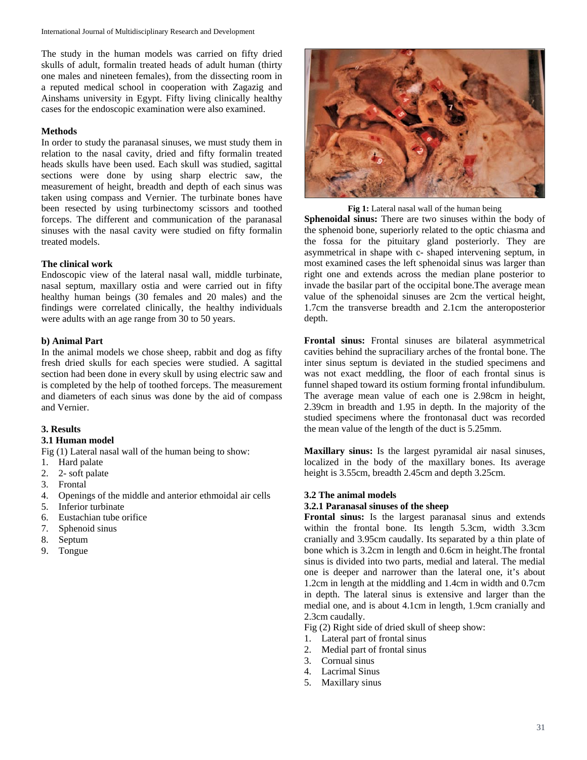The study in the human models was carried on fifty dried skulls of adult, formalin treated heads of adult human (thirty one males and nineteen females), from the dissecting room in a reputed medical school in cooperation with Zagazig and Ainshams university in Egypt. Fifty living clinically healthy cases for the endoscopic examination were also examined.

## **Methods**

In order to study the paranasal sinuses, we must study them in relation to the nasal cavity, dried and fifty formalin treated heads skulls have been used. Each skull was studied, sagittal sections were done by using sharp electric saw, the measurement of height, breadth and depth of each sinus was taken using compass and Vernier. The turbinate bones have been resected by using turbinectomy scissors and toothed forceps. The different and communication of the paranasal sinuses with the nasal cavity were studied on fifty formalin treated models.

## **The clinical work**

Endoscopic view of the lateral nasal wall, middle turbinate, nasal septum, maxillary ostia and were carried out in fifty healthy human beings (30 females and 20 males) and the findings were correlated clinically, the healthy individuals were adults with an age range from 30 to 50 years.

## **b) Animal Part**

In the animal models we chose sheep, rabbit and dog as fifty fresh dried skulls for each species were studied. A sagittal section had been done in every skull by using electric saw and is completed by the help of toothed forceps. The measurement and diameters of each sinus was done by the aid of compass and Vernier.

## **3. Results**

**3.1 Human model**

Fig (1) Lateral nasal wall of the human being to show:

- 1. Hard palate
- 2. 2- soft palate
- 3. Frontal
- 4. Openings of the middle and anterior ethmoidal air cells
- 5. Inferior turbinate
- 6. Eustachian tube orifice
- 7. Sphenoid sinus
- 8. Septum
- 9. Tongue



**Fig 1:** Lateral nasal wall of the human being

**Sphenoidal sinus:** There are two sinuses within the body of the sphenoid bone, superiorly related to the optic chiasma and the fossa for the pituitary gland posteriorly. They are asymmetrical in shape with c- shaped intervening septum, in most examined cases the left sphenoidal sinus was larger than right one and extends across the median plane posterior to invade the basilar part of the occipital bone.The average mean value of the sphenoidal sinuses are 2cm the vertical height, 1.7cm the transverse breadth and 2.1cm the anteroposterior depth.

**Frontal sinus:** Frontal sinuses are bilateral asymmetrical cavities behind the supraciliary arches of the frontal bone. The inter sinus septum is deviated in the studied specimens and was not exact meddling, the floor of each frontal sinus is funnel shaped toward its ostium forming frontal infundibulum. The average mean value of each one is 2.98cm in height, 2.39cm in breadth and 1.95 in depth. In the majority of the studied specimens where the frontonasal duct was recorded the mean value of the length of the duct is 5.25mm.

**Maxillary sinus:** Is the largest pyramidal air nasal sinuses, localized in the body of the maxillary bones. Its average height is 3.55cm, breadth 2.45cm and depth 3.25cm.

## **3.2 The animal models**

## **3.2.1 Paranasal sinuses of the sheep**

**Frontal sinus:** Is the largest paranasal sinus and extends within the frontal bone. Its length 5.3cm, width 3.3cm cranially and 3.95cm caudally. Its separated by a thin plate of bone which is 3.2cm in length and 0.6cm in height.The frontal sinus is divided into two parts, medial and lateral. The medial one is deeper and narrower than the lateral one, it's about 1.2cm in length at the middling and 1.4cm in width and 0.7cm in depth. The lateral sinus is extensive and larger than the medial one, and is about 4.1cm in length, 1.9cm cranially and 2.3cm caudally.

Fig (2) Right side of dried skull of sheep show:

- 1. Lateral part of frontal sinus
- 2. Medial part of frontal sinus
- 3. Cornual sinus
- 4. Lacrimal Sinus
- 5. Maxillary sinus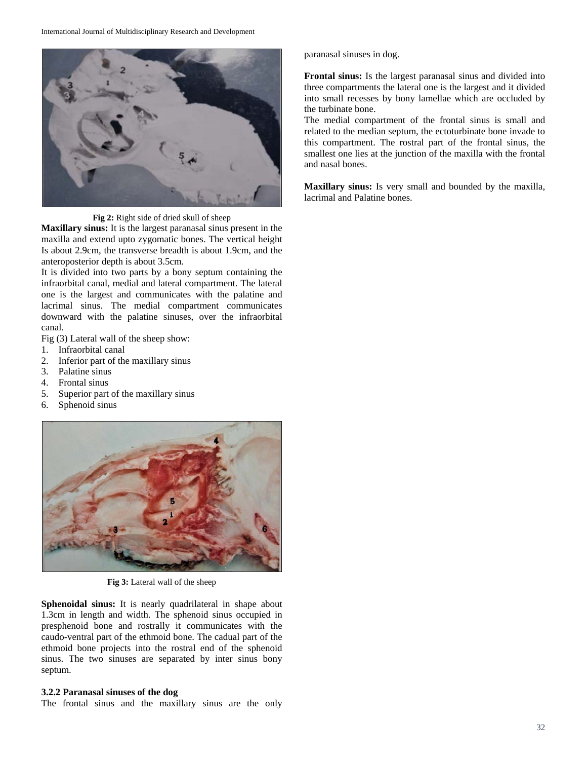

**Fig 2:** Right side of dried skull of sheep

**Maxillary sinus:** It is the largest paranasal sinus present in the maxilla and extend upto zygomatic bones. The vertical height Is about 2.9cm, the transverse breadth is about 1.9cm, and the anteroposterior depth is about 3.5cm.

It is divided into two parts by a bony septum containing the infraorbital canal, medial and lateral compartment. The lateral one is the largest and communicates with the palatine and lacrimal sinus. The medial compartment communicates downward with the palatine sinuses, over the infraorbital canal.

Fig (3) Lateral wall of the sheep show:

- 1. Infraorbital canal
- 2. Inferior part of the maxillary sinus
- 3. Palatine sinus
- 4. Frontal sinus
- 5. Superior part of the maxillary sinus
- 6. Sphenoid sinus



**Fig 3:** Lateral wall of the sheep

Sphenoidal sinus: It is nearly quadrilateral in shape about 1.3cm in length and width. The sphenoid sinus occupied in presphenoid bone and rostrally it communicates with the caudo-ventral part of the ethmoid bone. The cadual part of the ethmoid bone projects into the rostral end of the sphenoid sinus. The two sinuses are separated by inter sinus bony septum.

## **3.2.2 Paranasal sinuses of the dog**

The frontal sinus and the maxillary sinus are the only

paranasal sinuses in dog.

**Frontal sinus:** Is the largest paranasal sinus and divided into three compartments the lateral one is the largest and it divided into small recesses by bony lamellae which are occluded by the turbinate bone.

The medial compartment of the frontal sinus is small and related to the median septum, the ectoturbinate bone invade to this compartment. The rostral part of the frontal sinus, the smallest one lies at the junction of the maxilla with the frontal and nasal bones.

**Maxillary sinus:** Is very small and bounded by the maxilla, lacrimal and Palatine bones.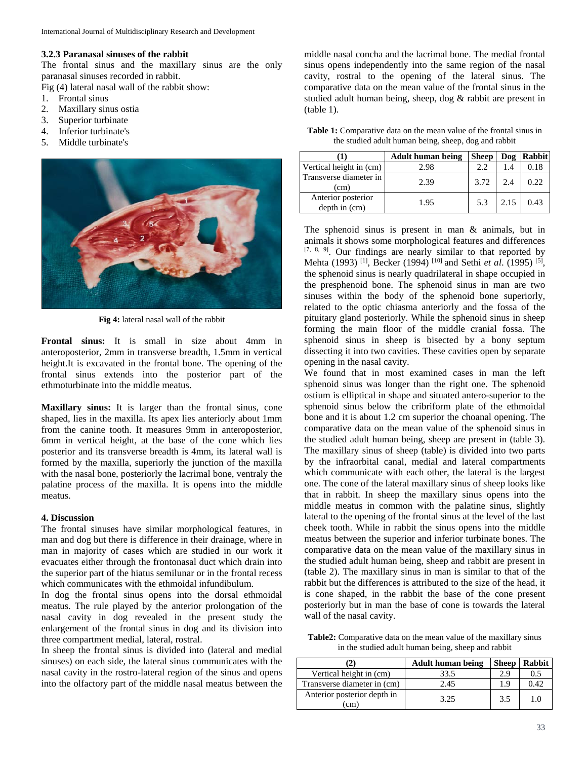## **3.2.3 Paranasal sinuses of the rabbit**

The frontal sinus and the maxillary sinus are the only paranasal sinuses recorded in rabbit.

Fig (4) lateral nasal wall of the rabbit show:

- 1. Frontal sinus
- 2. Maxillary sinus ostia
- 3. Superior turbinate
- 4. Inferior turbinate's
- 5. Middle turbinate's



**Fig 4:** lateral nasal wall of the rabbit

**Frontal sinus:** It is small in size about 4mm in anteroposterior, 2mm in transverse breadth, 1.5mm in vertical height.It is excavated in the frontal bone. The opening of the frontal sinus extends into the posterior part of the ethmoturbinate into the middle meatus.

**Maxillary sinus:** It is larger than the frontal sinus, cone shaped, lies in the maxilla. Its apex lies anteriorly about 1mm from the canine tooth. It measures 9mm in anteroposterior, 6mm in vertical height, at the base of the cone which lies posterior and its transverse breadth is 4mm, its lateral wall is formed by the maxilla, superiorly the junction of the maxilla with the nasal bone, posteriorly the lacrimal bone, ventraly the palatine process of the maxilla. It is opens into the middle meatus.

## **4. Discussion**

The frontal sinuses have similar morphological features, in man and dog but there is difference in their drainage, where in man in majority of cases which are studied in our work it evacuates either through the frontonasal duct which drain into the superior part of the hiatus semilunar or in the frontal recess which communicates with the ethmoidal infundibulum.

In dog the frontal sinus opens into the dorsal ethmoidal meatus. The rule played by the anterior prolongation of the nasal cavity in dog revealed in the present study the enlargement of the frontal sinus in dog and its division into three compartment medial, lateral, rostral.

In sheep the frontal sinus is divided into (lateral and medial sinuses) on each side, the lateral sinus communicates with the nasal cavity in the rostro-lateral region of the sinus and opens into the olfactory part of the middle nasal meatus between the

middle nasal concha and the lacrimal bone. The medial frontal sinus opens independently into the same region of the nasal cavity, rostral to the opening of the lateral sinus. The comparative data on the mean value of the frontal sinus in the studied adult human being, sheep, dog & rabbit are present in (table 1).

**Table 1:** Comparative data on the mean value of the frontal sinus in the studied adult human being, sheep, dog and rabbit

|                                     | <b>Adult human being</b> | Sheep | Dog  | Rabbit |
|-------------------------------------|--------------------------|-------|------|--------|
| Vertical height in (cm)             | 2.98                     | 2.2   | 1.4  | 0.18   |
| Transverse diameter in<br>(cm)      | 2.39                     | 3.72  | 2.4  | 0.22   |
| Anterior posterior<br>depth in (cm) | 1.95                     | 5.3   | 2.15 | 0.43   |

The sphenoid sinus is present in man & animals, but in animals it shows some morphological features and differences [7, 8, 9]. Our findings are nearly similar to that reported by Mehta (1993) [1], Becker (1994) [10] and Sethi *et al*. (1995) [5], the sphenoid sinus is nearly quadrilateral in shape occupied in the presphenoid bone. The sphenoid sinus in man are two sinuses within the body of the sphenoid bone superiorly, related to the optic chiasma anteriorly and the fossa of the pituitary gland posteriorly. While the sphenoid sinus in sheep forming the main floor of the middle cranial fossa. The sphenoid sinus in sheep is bisected by a bony septum dissecting it into two cavities. These cavities open by separate opening in the nasal cavity.

We found that in most examined cases in man the left sphenoid sinus was longer than the right one. The sphenoid ostium is elliptical in shape and situated antero-superior to the sphenoid sinus below the cribriform plate of the ethmoidal bone and it is about 1.2 cm superior the choanal opening. The comparative data on the mean value of the sphenoid sinus in the studied adult human being, sheep are present in (table 3). The maxillary sinus of sheep (table) is divided into two parts by the infraorbital canal, medial and lateral compartments which communicate with each other, the lateral is the largest one. The cone of the lateral maxillary sinus of sheep looks like that in rabbit. In sheep the maxillary sinus opens into the middle meatus in common with the palatine sinus, slightly lateral to the opening of the frontal sinus at the level of the last cheek tooth. While in rabbit the sinus opens into the middle meatus between the superior and inferior turbinate bones. The comparative data on the mean value of the maxillary sinus in the studied adult human being, sheep and rabbit are present in (table 2). The maxillary sinus in man is similar to that of the rabbit but the differences is attributed to the size of the head, it is cone shaped, in the rabbit the base of the cone present posteriorly but in man the base of cone is towards the lateral wall of the nasal cavity.

**Table2:** Comparative data on the mean value of the maxillary sinus in the studied adult human being, sheep and rabbit

| 21                                  | <b>Adult human being</b> | <b>Sheep</b> | <b>Rabbit</b> |
|-------------------------------------|--------------------------|--------------|---------------|
| Vertical height in (cm)             | 33.5                     | 2.9          | 0.5           |
| Transverse diameter in (cm)         | 2.45                     | 1.9          | 0.42          |
| Anterior posterior depth in<br>(cm) | 3.25                     | 3.5          | 1.0           |